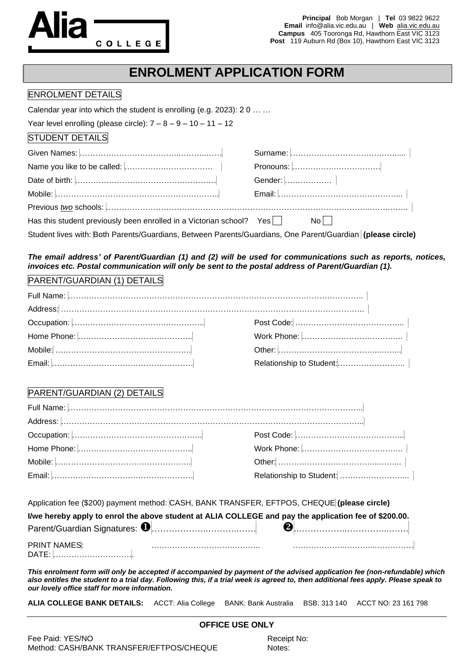

**Principal** Bob Morgan | **Tel** 03 9822 9622 **Email** info@alia.vic.edu.au | **Web** alia.vic.edu.au **Campus** 405 Tooronga Rd, Hawthorn East VIC 3123 **Post** 119 Auburn Rd (Box 10), Hawthorn East VIC 3123

# **ENROLMENT APPLICATION FORM**

#### ENROLMENT DETAILS

Calendar year into which the student is enrolling (e.g. 2023): 2 0 … …

Year level enrolling (please circle):  $7 - 8 - 9 - 10 - 11 - 12$ 

#### STUDENT DETAILS

| Has this student previously been enrolled in a Victorian school? Yes                                       | Nol I |
|------------------------------------------------------------------------------------------------------------|-------|
| Student lives with: Both Parents/Guardians, Between Parents/Guardians, One Parent/Guardian (please circle) |       |

#### *The email address' of Parent/Guardian (1) and (2) will be used for communications such as reports, notices, invoices etc. Postal communication will only be sent to the postal address of Parent/Guardian (1).*

### PARENT/GUARDIAN (1) DETAILS

### PARENT/GUARDIAN (2) DETAILS

Application fee (\$200) payment method: CASH, BANK TRANSFER, EFTPOS, CHEQUE **(please circle)**

|                     | I/we hereby apply to enrol the above student at ALIA COLLEGE and pay the application fee of \$200.00. |  |
|---------------------|-------------------------------------------------------------------------------------------------------|--|
|                     |                                                                                                       |  |
| <b>PRINT NAMES:</b> |                                                                                                       |  |
| DATE:               |                                                                                                       |  |

*This enrolment form will only be accepted if accompanied by payment of the advised application fee (non-refundable) which also entitles the student to a trial day. Following this, if a trial week is agreed to, then additional fees apply. Please speak to our lovely office staff for more information.*

**OFFICE USE ONLY**

**ALIA COLLEGE BANK DETAILS:** ACCT: Alia College BANK: Bank Australia BSB: 313 140 ACCT NO: 23 161 798

| Fee Paid: YES/NO                         | Receipt |
|------------------------------------------|---------|
| Method: CASH/BANK TRANSFER/EFTPOS/CHEQUE | Notes:  |

Receipt No: